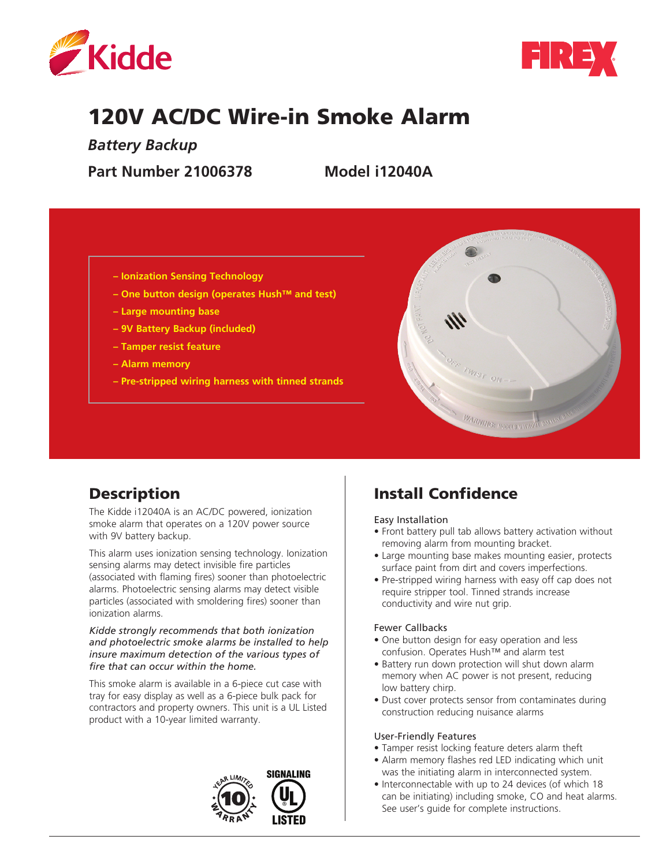



# 120V AC/DC Wire-in Smoke Alarm

*Battery Backup* 

**Part Number 21006378 Model i12040A**

- **Ionization Sensing Technology**
- **One button design (operates Hush™ and test)**
- **Large mounting base**
- **9V Battery Backup (included)**
- **Tamper resist feature**
- **Alarm memory**
- **Pre-stripped wiring harness with tinned strands**



# **Description**

The Kidde i12040A is an AC/DC powered, ionization smoke alarm that operates on a 120V power source with 9V battery backup.

This alarm uses ionization sensing technology. Ionization sensing alarms may detect invisible fire particles (associated with flaming fires) sooner than photoelectric alarms. Photoelectric sensing alarms may detect visible particles (associated with smoldering fires) sooner than ionization alarms.

#### *Kidde strongly recommends that both ionization and photoelectric smoke alarms be installed to help insure maximum detection of the various types of fire that can occur within the home.*

This smoke alarm is available in a 6-piece cut case with tray for easy display as well as a 6-piece bulk pack for contractors and property owners. This unit is a UL Listed product with a 10-year limited warranty.



# Install Confidence

Easy Installation

- Front battery pull tab allows battery activation without removing alarm from mounting bracket.
- Large mounting base makes mounting easier, protects surface paint from dirt and covers imperfections.
- Pre-stripped wiring harness with easy off cap does not require stripper tool. Tinned strands increase conductivity and wire nut grip.

#### Fewer Callbacks

- One button design for easy operation and less confusion. Operates Hush™ and alarm test
- Battery run down protection will shut down alarm memory when AC power is not present, reducing low battery chirp.
- Dust cover protects sensor from contaminates during construction reducing nuisance alarms

#### User-Friendly Features

- Tamper resist locking feature deters alarm theft
- Alarm memory flashes red LED indicating which unit was the initiating alarm in interconnected system.
- Interconnectable with up to 24 devices (of which 18 can be initiating) including smoke, CO and heat alarms. See user's guide for complete instructions.